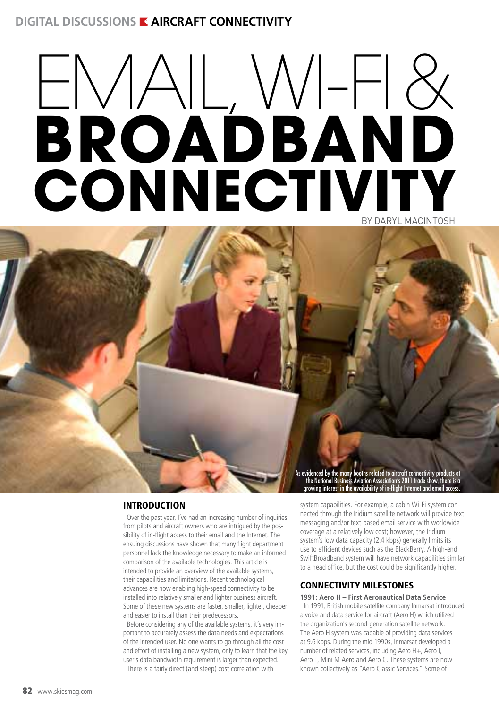# **DIGITAL DISCUSSIONS E AIRCRAFT CONNECTIVITY**

# $ENAL, WIFR$ **BROADBAND Connectivity** by Daryl MacIntosh

As evidenced by the many booths related to aircraft connectivity products at the National Business Aviation Association's 2011 trade show, there is a growing interest in the availability of in-flight Internet and email access.

# INTRODUCTION

Over the past year, I've had an increasing number of inquiries from pilots and aircraft owners who are intrigued by the possibility of in-flight access to their email and the Internet. The ensuing discussions have shown that many flight department personnel lack the knowledge necessary to make an informed comparison of the available technologies. This article is intended to provide an overview of the available systems, their capabilities and limitations. Recent technological advances are now enabling high-speed connectivity to be installed into relatively smaller and lighter business aircraft. Some of these new systems are faster, smaller, lighter, cheaper and easier to install than their predecessors.

Before considering any of the available systems, it's very important to accurately assess the data needs and expectations of the intended user. No one wants to go through all the cost and effort of installing a new system, only to learn that the key user's data bandwidth requirement is larger than expected. There is a fairly direct (and steep) cost correlation with

system capabilities. For example, a cabin Wi-Fi system connected through the Iridium satellite network will provide text messaging and/or text-based email service with worldwide coverage at a relatively low cost; however, the Iridium system's low data capacity (2.4 kbps) generally limits its use to efficient devices such as the BlackBerry. A high-end SwiftBroadband system will have network capabilities similar to a head office, but the cost could be significantly higher.

# CONNECTIVITY MILESTONES

### **1991: Aero H – First Aeronautical Data Service**

In 1991, British mobile satellite company Inmarsat introduced a voice and data service for aircraft (Aero H) which utilized the organization's second-generation satellite network. The Aero H system was capable of providing data services at 9.6 kbps. During the mid-1990s, Inmarsat developed a number of related services, including Aero H+, Aero I, Aero L, Mini M Aero and Aero C. These systems are now known collectively as "Aero Classic Services." Some of